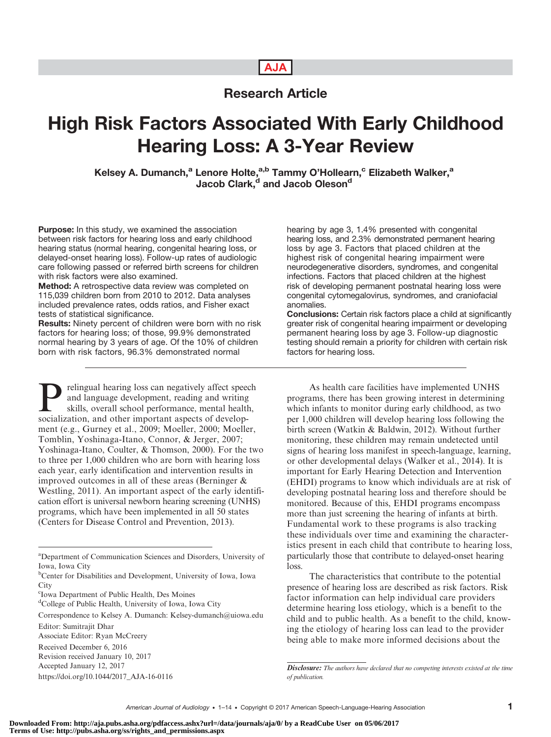# AJA

# Research Article

# High Risk Factors Associated With Early Childhood Hearing Loss: A 3-Year Review

Kelsey A. Dumanch,<sup>a</sup> Lenore Holte,<sup>a,b</sup> Tammy O'Hollearn,<sup>c</sup> Elizabeth Walker,<sup>a</sup> Jacob Clark,<sup>d</sup> and Jacob Oleson<sup>d</sup>

Purpose: In this study, we examined the association between risk factors for hearing loss and early childhood hearing status (normal hearing, congenital hearing loss, or delayed-onset hearing loss). Follow-up rates of audiologic care following passed or referred birth screens for children with risk factors were also examined.

**Method:** A retrospective data review was completed on 115,039 children born from 2010 to 2012. Data analyses included prevalence rates, odds ratios, and Fisher exact tests of statistical significance.

Results: Ninety percent of children were born with no risk factors for hearing loss; of those, 99.9% demonstrated normal hearing by 3 years of age. Of the 10% of children born with risk factors, 96.3% demonstrated normal

**Prelingual hearing loss can negatively affect speech**<br>and language development, reading and writing<br>skills, overall school performance, mental health,<br>socialization, and other important aspects of developand language development, reading and writing socialization, and other important aspects of development (e.g., Gurney et al., 2009; Moeller, 2000; Moeller, Tomblin, Yoshinaga-Itano, Connor, & Jerger, 2007; Yoshinaga-Itano, Coulter, & Thomson, 2000). For the two to three per 1,000 children who are born with hearing loss each year, early identification and intervention results in improved outcomes in all of these areas (Berninger & Westling, 2011). An important aspect of the early identification effort is universal newborn hearing screening (UNHS) programs, which have been implemented in all 50 states (Centers for Disease Control and Prevention, 2013).

hearing by age 3, 1.4% presented with congenital hearing loss, and 2.3% demonstrated permanent hearing loss by age 3. Factors that placed children at the highest risk of congenital hearing impairment were neurodegenerative disorders, syndromes, and congenital infections. Factors that placed children at the highest risk of developing permanent postnatal hearing loss were congenital cytomegalovirus, syndromes, and craniofacial anomalies.

Conclusions: Certain risk factors place a child at significantly greater risk of congenital hearing impairment or developing permanent hearing loss by age 3. Follow-up diagnostic testing should remain a priority for children with certain risk factors for hearing loss.

As health care facilities have implemented UNHS programs, there has been growing interest in determining which infants to monitor during early childhood, as two per 1,000 children will develop hearing loss following the birth screen (Watkin & Baldwin, 2012). Without further monitoring, these children may remain undetected until signs of hearing loss manifest in speech-language, learning, or other developmental delays (Walker et al., 2014). It is important for Early Hearing Detection and Intervention (EHDI) programs to know which individuals are at risk of developing postnatal hearing loss and therefore should be monitored. Because of this, EHDI programs encompass more than just screening the hearing of infants at birth. Fundamental work to these programs is also tracking these individuals over time and examining the characteristics present in each child that contribute to hearing loss, particularly those that contribute to delayed-onset hearing loss.

The characteristics that contribute to the potential presence of hearing loss are described as risk factors. Risk factor information can help individual care providers determine hearing loss etiology, which is a benefit to the child and to public health. As a benefit to the child, knowing the etiology of hearing loss can lead to the provider being able to make more informed decisions about the

a Department of Communication Sciences and Disorders, University of Iowa, Iowa City

<sup>&</sup>lt;sup>b</sup>Center for Disabilities and Development, University of Iowa, Iowa **City** 

c Iowa Department of Public Health, Des Moines

<sup>&</sup>lt;sup>d</sup>College of Public Health, University of Iowa, Iowa City

Correspondence to Kelsey A. Dumanch: Kelsey-dumanch@uiowa.edu Editor: Sumitrajit Dhar

Associate Editor: Ryan McCreery

Received December 6, 2016

Revision received January 10, 2017

Accepted January 12, 2017

[https://doi.org/10.1044/2017\\_AJA-16-0116](https://doi.org/10.1044/2017_AJA-16-0116)

Disclosure: The authors have declared that no competing interests existed at the time of publication.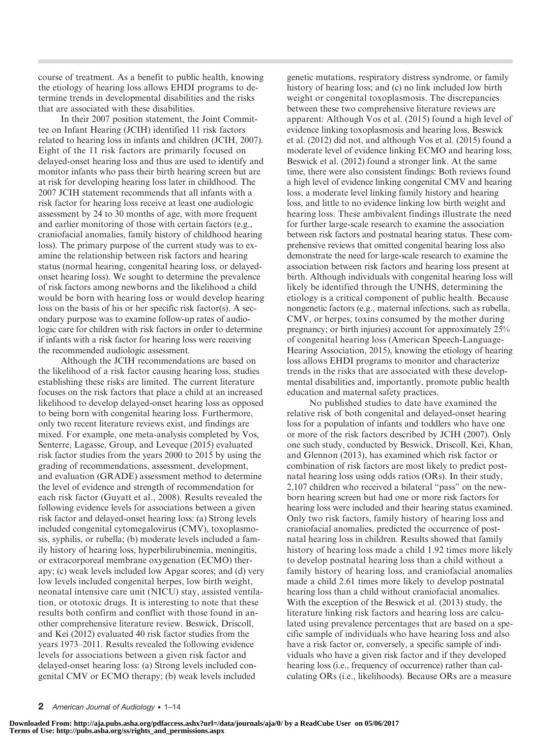course of treatment. As a benefit to public health, knowing the etiology of hearing loss allows EHDI programs to determine trends in developmental disabilities and the risks that are associated with these disabilities.

In their 2007 position statement, the Joint Committee on Infant Hearing (JCIH) identified 11 risk factors related to hearing loss in infants and children (JCIH, 2007). Eight of the 11 risk factors are primarily focused on delayed-onset hearing loss and thus are used to identify and monitor infants who pass their birth hearing screen but are at risk for developing hearing loss later in childhood. The 2007 JCIH statement recommends that all infants with a risk factor for hearing loss receive at least one audiologic assessment by 24 to 30 months of age, with more frequent and earlier monitoring of those with certain factors (e.g., craniofacial anomalies, family history of childhood hearing loss). The primary purpose of the current study was to examine the relationship between risk factors and hearing status (normal hearing, congenital hearing loss, or delayedonset hearing loss). We sought to determine the prevalence of risk factors among newborns and the likelihood a child would be born with hearing loss or would develop hearing loss on the basis of his or her specific risk factor(s). A secondary purpose was to examine follow-up rates of audiologic care for children with risk factors in order to determine if infants with a risk factor for hearing loss were receiving the recommended audiologic assessment.

Although the JCIH recommendations are based on the likelihood of a risk factor causing hearing loss, studies establishing these risks are limited. The current literature focuses on the risk factors that place a child at an increased likelihood to develop delayed-onset hearing loss as opposed to being born with congenital hearing loss. Furthermore, only two recent literature reviews exist, and findings are mixed. For example, one meta-analysis completed by Vos, Senterre, Lagasse, Group, and Leveque (2015) evaluated risk factor studies from the years 2000 to 2015 by using the grading of recommendations, assessment, development, and evaluation (GRADE) assessment method to determine the level of evidence and strength of recommendation for each risk factor (Guyatt et al., 2008). Results revealed the following evidence levels for associations between a given risk factor and delayed-onset hearing loss: (a) Strong levels included congenital cytomegalovirus (CMV), toxoplasmosis, syphilis, or rubella; (b) moderate levels included a family history of hearing loss, hyperbilirubinemia, meningitis, or extracorporeal membrane oxygenation (ECMO) therapy; (c) weak levels included low Apgar scores; and (d) very low levels included congenital herpes, low birth weight, neonatal intensive care unit (NICU) stay, assisted ventilation, or ototoxic drugs. It is interesting to note that these results both confirm and conflict with those found in another comprehensive literature review. Beswick, Driscoll, and Kei (2012) evaluated 40 risk factor studies from the years 1973–2011. Results revealed the following evidence levels for associations between a given risk factor and delayed-onset hearing loss: (a) Strong levels included congenital CMV or ECMO therapy; (b) weak levels included

genetic mutations, respiratory distress syndrome, or family history of hearing loss; and (c) no link included low birth weight or congenital toxoplasmosis. The discrepancies between these two comprehensive literature reviews are apparent: Although Vos et al. (2015) found a high level of evidence linking toxoplasmosis and hearing loss, Beswick et al. (2012) did not, and although Vos et al. (2015) found a moderate level of evidence linking ECMO and hearing loss, Beswick et al. (2012) found a stronger link. At the same time, there were also consistent findings: Both reviews found a high level of evidence linking congenital CMV and hearing loss, a moderate level linking family history and hearing loss, and little to no evidence linking low birth weight and hearing loss. These ambivalent findings illustrate the need for further large-scale research to examine the association between risk factors and postnatal hearing status. These comprehensive reviews that omitted congenital hearing loss also demonstrate the need for large-scale research to examine the association between risk factors and hearing loss present at birth. Although individuals with congenital hearing loss will likely be identified through the UNHS, determining the etiology is a critical component of public health. Because nongenetic factors (e.g., maternal infections, such as rubella, CMV, or herpes; toxins consumed by the mother during pregnancy; or birth injuries) account for approximately 25% of congenital hearing loss (American Speech-Language-Hearing Association, 2015), knowing the etiology of hearing loss allows EHDI programs to monitor and characterize trends in the risks that are associated with these developmental disabilities and, importantly, promote public health education and maternal safety practices.

No published studies to date have examined the relative risk of both congenital and delayed-onset hearing loss for a population of infants and toddlers who have one or more of the risk factors described by JCIH (2007). Only one such study, conducted by Beswick, Driscoll, Kei, Khan, and Glennon (2013), has examined which risk factor or combination of risk factors are most likely to predict postnatal hearing loss using odds ratios (ORs). In their study, 2,107 children who received a bilateral "pass" on the newborn hearing screen but had one or more risk factors for hearing loss were included and their hearing status examined. Only two risk factors, family history of hearing loss and craniofacial anomalies, predicted the occurrence of postnatal hearing loss in children. Results showed that family history of hearing loss made a child 1.92 times more likely to develop postnatal hearing loss than a child without a family history of hearing loss, and craniofacial anomalies made a child 2.61 times more likely to develop postnatal hearing loss than a child without craniofacial anomalies. With the exception of the Beswick et al. (2013) study, the literature linking risk factors and hearing loss are calculated using prevalence percentages that are based on a specific sample of individuals who have hearing loss and also have a risk factor or, conversely, a specific sample of individuals who have a given risk factor and if they developed hearing loss (i.e., frequency of occurrence) rather than calculating ORs (i.e., likelihoods). Because ORs are a measure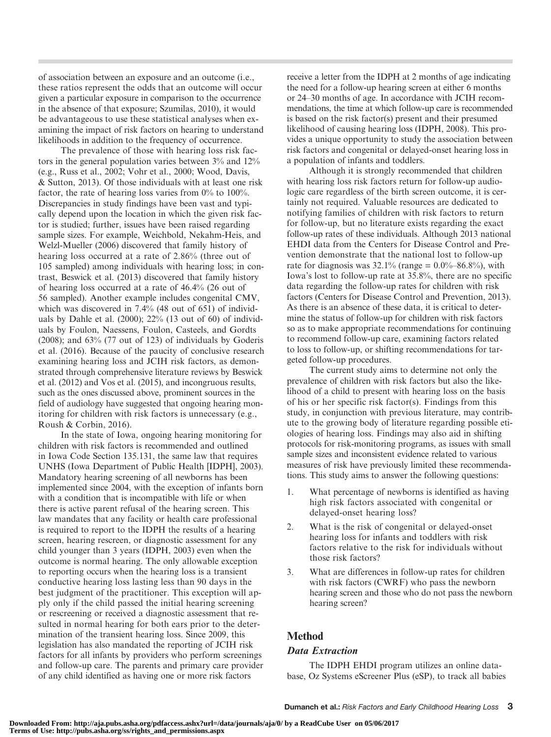of association between an exposure and an outcome (i.e., these ratios represent the odds that an outcome will occur given a particular exposure in comparison to the occurrence in the absence of that exposure; Szumilas, 2010), it would be advantageous to use these statistical analyses when examining the impact of risk factors on hearing to understand likelihoods in addition to the frequency of occurrence.

The prevalence of those with hearing loss risk factors in the general population varies between 3% and 12% (e.g., Russ et al., 2002; Vohr et al., 2000; Wood, Davis, & Sutton, 2013). Of those individuals with at least one risk factor, the rate of hearing loss varies from  $0\%$  to  $100\%$ . Discrepancies in study findings have been vast and typically depend upon the location in which the given risk factor is studied; further, issues have been raised regarding sample sizes. For example, Weichbold, Nekahm-Heis, and Welzl-Mueller (2006) discovered that family history of hearing loss occurred at a rate of 2.86% (three out of 105 sampled) among individuals with hearing loss; in contrast, Beswick et al. (2013) discovered that family history of hearing loss occurred at a rate of 46.4% (26 out of 56 sampled). Another example includes congenital CMV, which was discovered in 7.4% (48 out of 651) of individuals by Dahle et al. (2000); 22% (13 out of 60) of individuals by Foulon, Naessens, Foulon, Casteels, and Gordts (2008); and 63% (77 out of 123) of individuals by Goderis et al. (2016). Because of the paucity of conclusive research examining hearing loss and JCIH risk factors, as demonstrated through comprehensive literature reviews by Beswick et al. (2012) and Vos et al. (2015), and incongruous results, such as the ones discussed above, prominent sources in the field of audiology have suggested that ongoing hearing monitoring for children with risk factors is unnecessary (e.g., Roush & Corbin, 2016).

In the state of Iowa, ongoing hearing monitoring for children with risk factors is recommended and outlined in Iowa Code Section 135.131, the same law that requires UNHS (Iowa Department of Public Health [IDPH], 2003). Mandatory hearing screening of all newborns has been implemented since 2004, with the exception of infants born with a condition that is incompatible with life or when there is active parent refusal of the hearing screen. This law mandates that any facility or health care professional is required to report to the IDPH the results of a hearing screen, hearing rescreen, or diagnostic assessment for any child younger than 3 years (IDPH, 2003) even when the outcome is normal hearing. The only allowable exception to reporting occurs when the hearing loss is a transient conductive hearing loss lasting less than 90 days in the best judgment of the practitioner. This exception will apply only if the child passed the initial hearing screening or rescreening or received a diagnostic assessment that resulted in normal hearing for both ears prior to the determination of the transient hearing loss. Since 2009, this legislation has also mandated the reporting of JCIH risk factors for all infants by providers who perform screenings and follow-up care. The parents and primary care provider of any child identified as having one or more risk factors

receive a letter from the IDPH at 2 months of age indicating the need for a follow-up hearing screen at either 6 months or 24–30 months of age. In accordance with JCIH recommendations, the time at which follow-up care is recommended is based on the risk factor(s) present and their presumed likelihood of causing hearing loss (IDPH, 2008). This provides a unique opportunity to study the association between risk factors and congenital or delayed-onset hearing loss in a population of infants and toddlers.

Although it is strongly recommended that children with hearing loss risk factors return for follow-up audiologic care regardless of the birth screen outcome, it is certainly not required. Valuable resources are dedicated to notifying families of children with risk factors to return for follow-up, but no literature exists regarding the exact follow-up rates of these individuals. Although 2013 national EHDI data from the Centers for Disease Control and Prevention demonstrate that the national lost to follow-up rate for diagnosis was  $32.1\%$  (range = 0.0%–86.8%), with Iowa's lost to follow-up rate at 35.8%, there are no specific data regarding the follow-up rates for children with risk factors (Centers for Disease Control and Prevention, 2013). As there is an absence of these data, it is critical to determine the status of follow-up for children with risk factors so as to make appropriate recommendations for continuing to recommend follow-up care, examining factors related to loss to follow-up, or shifting recommendations for targeted follow-up procedures.

The current study aims to determine not only the prevalence of children with risk factors but also the likelihood of a child to present with hearing loss on the basis of his or her specific risk factor(s). Findings from this study, in conjunction with previous literature, may contribute to the growing body of literature regarding possible etiologies of hearing loss. Findings may also aid in shifting protocols for risk-monitoring programs, as issues with small sample sizes and inconsistent evidence related to various measures of risk have previously limited these recommendations. This study aims to answer the following questions:

- 1. What percentage of newborns is identified as having high risk factors associated with congenital or delayed-onset hearing loss?
- 2. What is the risk of congenital or delayed-onset hearing loss for infants and toddlers with risk factors relative to the risk for individuals without those risk factors?
- 3. What are differences in follow-up rates for children with risk factors (CWRF) who pass the newborn hearing screen and those who do not pass the newborn hearing screen?

## **Method**

#### Data Extraction

The IDPH EHDI program utilizes an online database, Oz Systems eScreener Plus (eSP), to track all babies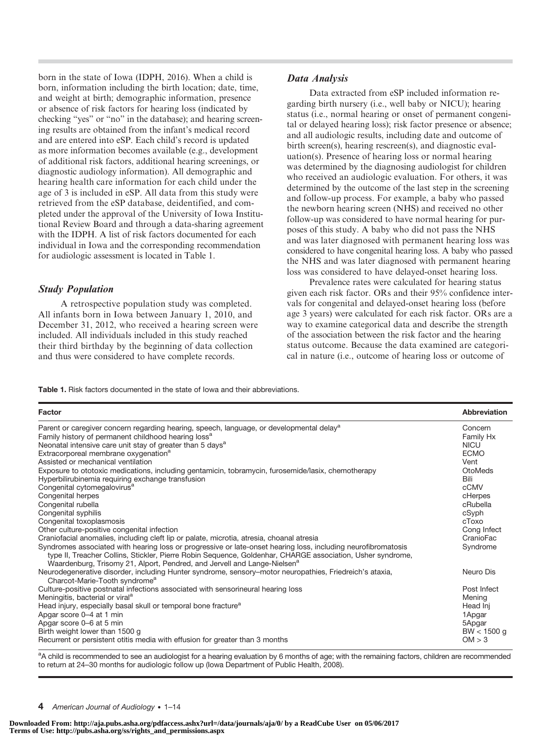born in the state of Iowa (IDPH, 2016). When a child is born, information including the birth location; date, time, and weight at birth; demographic information, presence or absence of risk factors for hearing loss (indicated by checking "yes" or "no" in the database); and hearing screening results are obtained from the infant's medical record and are entered into eSP. Each child's record is updated as more information becomes available (e.g., development of additional risk factors, additional hearing screenings, or diagnostic audiology information). All demographic and hearing health care information for each child under the age of 3 is included in eSP. All data from this study were retrieved from the eSP database, deidentified, and completed under the approval of the University of Iowa Institutional Review Board and through a data-sharing agreement with the IDPH. A list of risk factors documented for each individual in Iowa and the corresponding recommendation for audiologic assessment is located in Table 1.

#### Study Population

A retrospective population study was completed. All infants born in Iowa between January 1, 2010, and December 31, 2012, who received a hearing screen were included. All individuals included in this study reached their third birthday by the beginning of data collection and thus were considered to have complete records.

#### Data Analysis

Data extracted from eSP included information regarding birth nursery (i.e., well baby or NICU); hearing status (i.e., normal hearing or onset of permanent congenital or delayed hearing loss); risk factor presence or absence; and all audiologic results, including date and outcome of birth screen(s), hearing rescreen(s), and diagnostic evaluation(s). Presence of hearing loss or normal hearing was determined by the diagnosing audiologist for children who received an audiologic evaluation. For others, it was determined by the outcome of the last step in the screening and follow-up process. For example, a baby who passed the newborn hearing screen (NHS) and received no other follow-up was considered to have normal hearing for purposes of this study. A baby who did not pass the NHS and was later diagnosed with permanent hearing loss was considered to have congenital hearing loss. A baby who passed the NHS and was later diagnosed with permanent hearing loss was considered to have delayed-onset hearing loss.

Prevalence rates were calculated for hearing status given each risk factor. ORs and their 95% confidence intervals for congenital and delayed-onset hearing loss (before age 3 years) were calculated for each risk factor. ORs are a way to examine categorical data and describe the strength of the association between the risk factor and the hearing status outcome. Because the data examined are categorical in nature (i.e., outcome of hearing loss or outcome of

Table 1. Risk factors documented in the state of Iowa and their abbreviations.

| Factor                                                                                                        | <b>Abbreviation</b> |
|---------------------------------------------------------------------------------------------------------------|---------------------|
| Parent or caregiver concern regarding hearing, speech, language, or developmental delay <sup>a</sup>          | Concern             |
| Family history of permanent childhood hearing loss <sup>a</sup>                                               | Family Hx           |
| Neonatal intensive care unit stay of greater than 5 days <sup>a</sup>                                         | <b>NICU</b>         |
| Extracorporeal membrane oxygenation <sup>a</sup>                                                              | <b>ECMO</b>         |
| Assisted or mechanical ventilation                                                                            | Vent                |
| Exposure to ototoxic medications, including gentamicin, tobramycin, furosemide/lasix, chemotherapy            | OtoMeds             |
| Hyperbilirubinemia requiring exchange transfusion                                                             | Bili                |
| Congenital cytomegalovirus <sup>a</sup>                                                                       | cCMV                |
| Congenital herpes                                                                                             | cHerpes             |
| Congenital rubella                                                                                            | cRubella            |
| Congenital syphilis                                                                                           | cSyph               |
| Congenital toxoplasmosis                                                                                      | cToxo               |
| Other culture-positive congenital infection                                                                   | Cong Infect         |
| Craniofacial anomalies, including cleft lip or palate, microtia, atresia, choanal atresia                     | CranioFac           |
| Syndromes associated with hearing loss or progressive or late-onset hearing loss, including neurofibromatosis | Syndrome            |
| type II, Treacher Collins, Stickler, Pierre Robin Sequence, Goldenhar, CHARGE association, Usher syndrome,    |                     |
| Waardenburg, Trisomy 21, Alport, Pendred, and Jervell and Lange-Nielsen <sup>a</sup>                          |                     |
| Neurodegenerative disorder, including Hunter syndrome, sensory-motor neuropathies, Friedreich's ataxia,       | Neuro Dis           |
| Charcot-Marie-Tooth syndrome <sup>a</sup>                                                                     |                     |
| Culture-positive postnatal infections associated with sensorineural hearing loss                              | Post Infect         |
| Meningitis, bacterial or viral <sup>a</sup>                                                                   | Mening              |
| Head injury, especially basal skull or temporal bone fracture <sup>a</sup>                                    | Head Inj            |
| Apgar score 0-4 at 1 min                                                                                      | 1Apgar              |
| Apgar score 0-6 at 5 min                                                                                      | 5Apgar              |
| Birth weight lower than 1500 g                                                                                | $BW < 1500$ q       |
| Recurrent or persistent otitis media with effusion for greater than 3 months                                  | OM > 3              |
|                                                                                                               |                     |

<sup>a</sup>A child is recommended to see an audiologist for a hearing evaluation by 6 months of age; with the remaining factors, children are recommended to return at 24–30 months for audiologic follow up (Iowa Department of Public Health, 2008).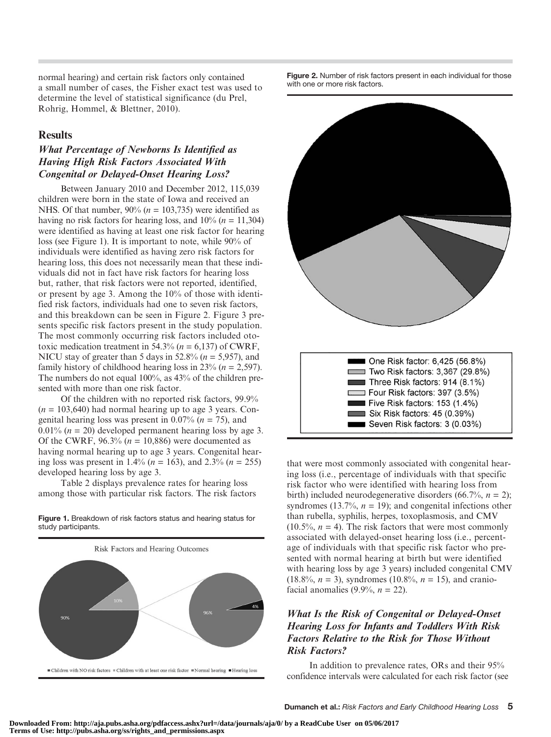normal hearing) and certain risk factors only contained a small number of cases, the Fisher exact test was used to determine the level of statistical significance (du Prel, Rohrig, Hommel, & Blettner, 2010).

### **Results**

## What Percentage of Newborns Is Identified as Having High Risk Factors Associated With Congenital or Delayed-Onset Hearing Loss?

Between January 2010 and December 2012, 115,039 children were born in the state of Iowa and received an NHS. Of that number,  $90\%$  ( $n = 103,735$ ) were identified as having no risk factors for hearing loss, and  $10\%$  ( $n = 11,304$ ) were identified as having at least one risk factor for hearing loss (see Figure 1). It is important to note, while 90% of individuals were identified as having zero risk factors for hearing loss, this does not necessarily mean that these individuals did not in fact have risk factors for hearing loss but, rather, that risk factors were not reported, identified, or present by age 3. Among the 10% of those with identified risk factors, individuals had one to seven risk factors, and this breakdown can be seen in Figure 2. Figure 3 presents specific risk factors present in the study population. The most commonly occurring risk factors included ototoxic medication treatment in 54.3% ( $n = 6.137$ ) of CWRF, NICU stay of greater than 5 days in 52.8% ( $n = 5,957$ ), and family history of childhood hearing loss in 23% ( $n = 2,597$ ). The numbers do not equal 100%, as 43% of the children presented with more than one risk factor.

Of the children with no reported risk factors, 99.9%  $(n = 103,640)$  had normal hearing up to age 3 years. Congenital hearing loss was present in 0.07% ( $n = 75$ ), and 0.01% ( $n = 20$ ) developed permanent hearing loss by age 3. Of the CWRF,  $96.3\%$  ( $n = 10,886$ ) were documented as having normal hearing up to age 3 years. Congenital hearing loss was present in 1.4% ( $n = 163$ ), and 2.3% ( $n = 255$ ) developed hearing loss by age 3.

Table 2 displays prevalence rates for hearing loss among those with particular risk factors. The risk factors

Figure 1. Breakdown of risk factors status and hearing status for study participants.



Figure 2. Number of risk factors present in each individual for those with one or more risk factors.



that were most commonly associated with congenital hearing loss (i.e., percentage of individuals with that specific risk factor who were identified with hearing loss from birth) included neurodegenerative disorders (66.7%,  $n = 2$ ); syndromes (13.7%,  $n = 19$ ); and congenital infections other than rubella, syphilis, herpes, toxoplasmosis, and CMV  $(10.5\%, n = 4)$ . The risk factors that were most commonly associated with delayed-onset hearing loss (i.e., percentage of individuals with that specific risk factor who presented with normal hearing at birth but were identified with hearing loss by age 3 years) included congenital CMV  $(18.8\%, n = 3)$ , syndromes  $(10.8\%, n = 15)$ , and craniofacial anomalies (9.9%,  $n = 22$ ).

## What Is the Risk of Congenital or Delayed-Onset Hearing Loss for Infants and Toddlers With Risk Factors Relative to the Risk for Those Without Risk Factors?

In addition to prevalence rates, ORs and their 95% confidence intervals were calculated for each risk factor (see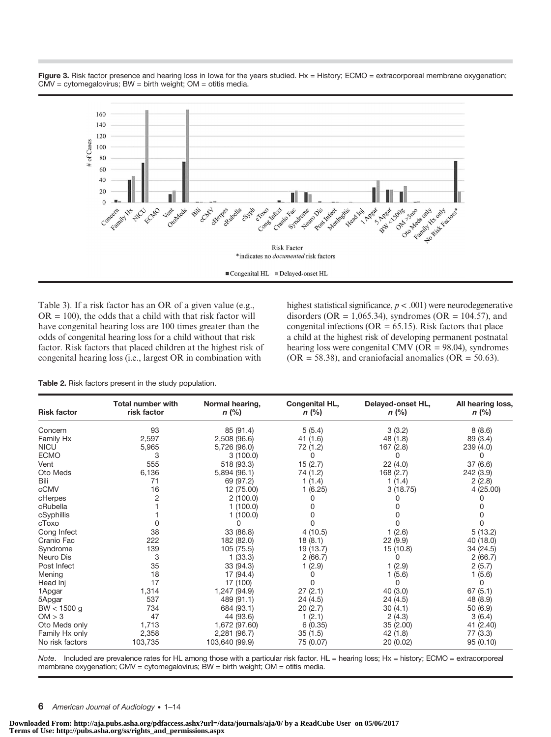Figure 3. Risk factor presence and hearing loss in lowa for the years studied. Hx = History; ECMO = extracorporeal membrane oxygenation; CMV = cytomegalovirus; BW = birth weight; OM = otitis media.



Table 3). If a risk factor has an OR of a given value (e.g.,  $OR = 100$ , the odds that a child with that risk factor will have congenital hearing loss are 100 times greater than the odds of congenital hearing loss for a child without that risk factor. Risk factors that placed children at the highest risk of congenital hearing loss (i.e., largest OR in combination with

highest statistical significance,  $p < .001$ ) were neurodegenerative disorders (OR = 1,065.34), syndromes (OR = 104.57), and congenital infections ( $OR = 65.15$ ). Risk factors that place a child at the highest risk of developing permanent postnatal hearing loss were congenital CMV (OR = 98.04), syndromes  $(OR = 58.38)$ , and craniofacial anomalies  $(OR = 50.63)$ .

Table 2. Risk factors present in the study population.

| <b>Risk factor</b> | <b>Total number with</b><br>risk factor | Normal hearing,<br>n (%) | <b>Congenital HL,</b><br>$n$ (%) | Delayed-onset HL,<br>$n$ (%) | All hearing loss,<br>$n$ (%) |
|--------------------|-----------------------------------------|--------------------------|----------------------------------|------------------------------|------------------------------|
| Concern            | 93                                      | 85 (91.4)                | 5(5.4)                           | 3(3.2)                       | 8(8.6)                       |
| Family Hx          | 2,597                                   | 2,508 (96.6)             | 41(1.6)                          | 48 (1.8)                     | 89 (3.4)                     |
| <b>NICU</b>        | 5,965                                   | 5,726 (96.0)             | 72 (1.2)                         | 167 (2.8)                    | 239 (4.0)                    |
| <b>ECMO</b>        | 3                                       | 3(100.0)                 | 0                                | 0                            | 0                            |
| Vent               | 555                                     | 518 (93.3)               | 15(2.7)                          | 22(4.0)                      | 37 (6.6)                     |
| Oto Meds           | 6,136                                   | 5,894 (96.1)             | 74 (1.2)                         | 168 (2.7)                    | 242 (3.9)                    |
| Bili               | 71                                      | 69 (97.2)                | 1(1.4)                           | 1(1.4)                       | 2(2.8)                       |
| cCMV               | 16                                      | 12 (75.00)               | 1(6.25)                          | 3(18.75)                     | 4(25.00)                     |
| cHerpes            | 2                                       | 2(100.0)                 | 0                                |                              |                              |
| cRubella           |                                         | 1(100.0)                 | 0                                |                              |                              |
| cSyphillis         |                                         | 1(100.0)                 | U                                |                              | U                            |
| cToxo              |                                         | 0                        | <sup>0</sup>                     |                              | 0                            |
| Cong Infect        | 38                                      | 33 (86.8)                | 4(10.5)                          | 1(2.6)                       | 5(13.2)                      |
| Cranio Fac         | 222                                     | 182 (82.0)               | 18(8.1)                          | 22(9.9)                      | 40 (18.0)                    |
| Syndrome           | 139                                     | 105 (75.5)               | 19 (13.7)                        | 15 (10.8)                    | 34 (24.5)                    |
| Neuro Dis          | 3                                       | 1(33.3)                  | 2(66.7)                          | 0                            | 2(66.7)                      |
| Post Infect        | 35                                      | 33(94.3)                 | 1(2.9)                           | 1(2.9)                       | 2(5.7)                       |
| Mening             | 18                                      | 17 (94.4)                | 0                                | 1(5.6)                       | 1(5.6)                       |
| Head Inj           | 17                                      | 17 (100)                 | <sup>0</sup>                     | 0                            | 0                            |
| 1Apgar             | 1,314                                   | 1.247 (94.9)             | 27(2.1)                          | 40(3.0)                      | 67(5.1)                      |
| 5Apgar             | 537                                     | 489 (91.1)               | 24(4.5)                          | 24(4.5)                      | 48 (8.9)                     |
| $BW < 1500$ g      | 734                                     | 684 (93.1)               | 20(2.7)                          | 30(4.1)                      | 50 (6.9)                     |
| OM > 3             | 47                                      | 44 (93.6)                | 1(2.1)                           | 2(4.3)                       | 3(6.4)                       |
| Oto Meds only      | 1,713                                   | 1,672 (97.60)            | 6(0.35)                          | 35 (2.00)                    | 41 (2.40)                    |
| Family Hx only     | 2,358                                   | 2,281 (96.7)             | 35(1.5)                          | 42 (1.8)                     | 77 (3.3)                     |
| No risk factors    | 103,735                                 | 103,640 (99.9)           | 75 (0.07)                        | 20 (0.02)                    | 95 (0.10)                    |

Note. Included are prevalence rates for HL among those with a particular risk factor. HL = hearing loss; Hx = history; ECMO = extracorporeal membrane oxygenation; CMV = cytomegalovirus; BW = birth weight; OM = otitis media.

#### 6 American Journal of Audiology • 1–14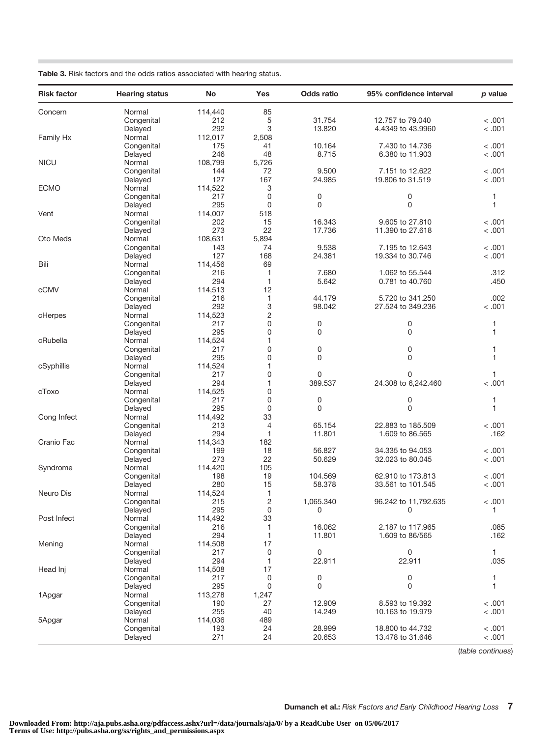|  |  |  |  |  |  |  | Table 3. Risk factors and the odds ratios associated with hearing status. |  |  |  |
|--|--|--|--|--|--|--|---------------------------------------------------------------------------|--|--|--|
|--|--|--|--|--|--|--|---------------------------------------------------------------------------|--|--|--|

| <b>Risk factor</b> | <b>Hearing status</b> | No      | Yes            | Odds ratio  | 95% confidence interval | p value |
|--------------------|-----------------------|---------|----------------|-------------|-------------------------|---------|
| Concern            | Normal                | 114,440 | 85             |             |                         |         |
|                    | Congenital            | 212     | 5              | 31.754      | 12.757 to 79.040        | < .001  |
|                    | Delayed               | 292     | 3              | 13.820      | 4.4349 to 43.9960       | < .001  |
| Family Hx          | Normal                | 112,017 | 2,508          |             |                         |         |
|                    | Congenital            | 175     | 41             | 10.164      | 7.430 to 14.736         | < .001  |
|                    | Delayed               | 246     | 48             | 8.715       | 6.380 to 11.903         | < .001  |
| <b>NICU</b>        | Normal                | 108,799 | 5,726          |             |                         |         |
|                    | Congenital            | 144     | 72             | 9.500       | 7.151 to 12.622         | < .001  |
|                    | Delayed               | 127     | 167            | 24.985      | 19.806 to 31.519        | < .001  |
| <b>ECMO</b>        | Normal                | 114,522 | 3              |             |                         |         |
|                    | Congenital            | 217     | 0              | 0           | 0                       | 1       |
|                    | Delayed               | 295     | 0              | $\Omega$    | 0                       | 1       |
| Vent               | Normal                | 114,007 | 518            |             |                         |         |
|                    | Congenital            | 202     | 15             | 16.343      | 9.605 to 27.810         | < .001  |
|                    | Delayed               | 273     | 22             | 17.736      | 11.390 to 27.618        | < .001  |
| Oto Meds           | Normal                | 108,631 | 5,894          |             |                         |         |
|                    | Congenital            | 143     | 74             | 9.538       | 7.195 to 12.643         | < .001  |
|                    | Delayed               | 127     | 168            | 24.381      | 19.334 to 30.746        | < .001  |
| Bili               | Normal                | 114,456 | 69             |             |                         |         |
|                    | Congenital            | 216     | 1              | 7.680       | 1.062 to 55.544         | .312    |
|                    | Delayed               | 294     | $\mathbf{1}$   | 5.642       | 0.781 to 40.760         | .450    |
| cCMV               | Normal                | 114,513 | 12             |             |                         |         |
|                    | Congenital            | 216     | 1              | 44.179      | 5.720 to 341.250        | .002    |
|                    | Delayed               | 292     | 3              | 98.042      | 27,524 to 349,236       | < .001  |
| cHerpes            | Normal                | 114,523 | $\overline{c}$ |             |                         |         |
|                    | Congenital            | 217     | 0              | 0           | 0                       | 1       |
|                    | Delayed               | 295     | 0              | 0           | 0                       | 1       |
| cRubella           | Normal                | 114,524 | $\mathbf{1}$   |             |                         |         |
|                    | Congenital            | 217     | 0              | 0           | 0                       | 1       |
|                    | Delayed               | 295     | 0              | $\mathbf 0$ | 0                       | 1       |
| cSyphillis         | Normal                | 114,524 | $\mathbf{1}$   |             |                         |         |
|                    | Congenital            | 217     | 0              | $\mathbf 0$ | 0                       | 1       |
|                    | Delayed               | 294     | $\mathbf{1}$   | 389.537     | 24.308 to 6,242.460     | < .001  |
| cToxo              | Normal                | 114,525 | 0              |             |                         |         |
|                    | Congenital            | 217     | 0              | 0           | 0                       | 1       |
|                    | Delayed               | 295     | 0              | 0           | 0                       | 1       |
| Cong Infect        | Normal                | 114,492 | 33             |             |                         |         |
|                    | Congenital            | 213     | 4              | 65.154      | 22.883 to 185.509       | < .001  |
|                    | Delayed               | 294     | $\mathbf{1}$   | 11.801      | 1.609 to 86.565         | .162    |
| Cranio Fac         | Normal                | 114,343 | 182            |             |                         |         |
|                    | Congenital            | 199     | 18             | 56.827      | 34,335 to 94,053        | < .001  |
|                    | Delayed               | 273     | 22             | 50.629      | 32.023 to 80.045        | < .001  |
| Syndrome           | Normal                | 114,420 | 105            |             |                         |         |
|                    | Congenital            | 198     | 19             | 104.569     | 62,910 to 173,813       | < .001  |
|                    | Delayed               | 280     | 15             | 58.378      | 33.561 to 101.545       | < .001  |
| Neuro Dis          | Normal                | 114,524 | 1              |             |                         |         |
|                    | Congenital            | 215     | $\overline{2}$ | 1,065.340   | 96.242 to 11,792.635    | < 0.001 |
|                    | Delayed               | 295     | $\mathbf 0$    | 0           | 0                       | 1       |
| Post Infect        | Normal                | 114,492 | 33             |             |                         |         |
|                    | Congenital            | 216     | 1              | 16.062      | 2.187 to 117.965        | .085    |
|                    | Delayed               | 294     | $\mathbf{1}$   | 11.801      | 1.609 to 86/565         | .162    |
| Mening             | Normal                | 114,508 | 17             |             |                         |         |
|                    | Congenital            | 217     | $\mathbf 0$    | 0           | 0                       | 1       |
|                    | Delayed               | 294     | $\mathbf{1}$   | 22.911      | 22.911                  | .035    |
| Head Inj           | Normal                | 114,508 | 17             |             |                         |         |
|                    | Congenital            | 217     | 0              | 0           | 0                       | 1       |
|                    | Delayed               | 295     | $\mathbf 0$    | $\mathbf 0$ | 0                       | 1       |
| 1Apgar             | Normal                | 113,278 | 1,247          |             |                         |         |
|                    | Congenital            | 190     | 27             | 12.909      | 8.593 to 19.392         | < .001  |
|                    | Delayed               | 255     | 40             | 14.249      | 10.163 to 19.979        | < .001  |
| 5Apgar             | Normal                | 114,036 | 489            |             |                         |         |
|                    | Congenital            | 193     | 24             | 28.999      | 18,800 to 44.732        | < .001  |
|                    | Delayed               | 271     | 24             | 20.653      | 13.478 to 31.646        | < .001  |
|                    |                       |         |                |             |                         |         |

(table continues)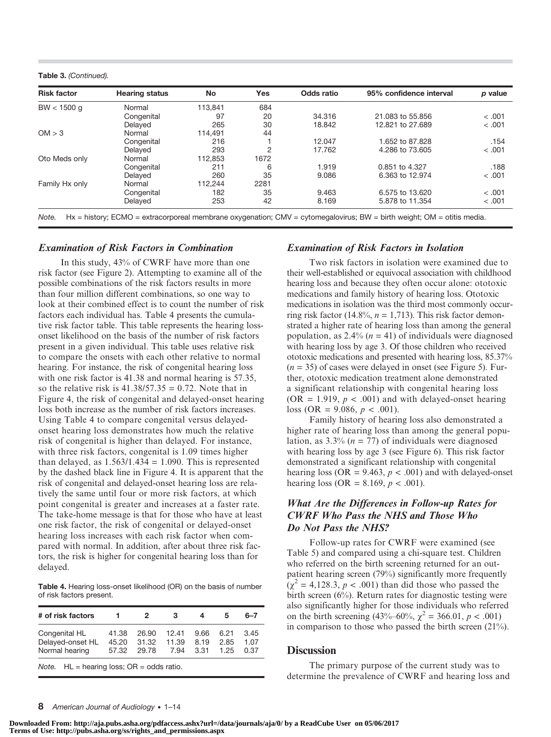Table 3. (Continued).

| <b>Risk factor</b> | <b>Hearing status</b> | No      | <b>Yes</b>     | Odds ratio | 95% confidence interval | p value |
|--------------------|-----------------------|---------|----------------|------------|-------------------------|---------|
| $BW < 1500$ q      | Normal                | 113.841 | 684            |            |                         |         |
|                    | Congenital            | 97      | 20             | 34.316     | 21,083 to 55,856        | < 0.001 |
|                    | Delayed               | 265     | 30             | 18.842     | 12,821 to 27,689        | < 0.001 |
| OM > 3             | Normal                | 114.491 | 44             |            |                         |         |
|                    | Congenital            | 216     |                | 12.047     | 1.652 to 87.828         | .154    |
|                    | Delayed               | 293     | $\overline{2}$ | 17.762     | 4.286 to 73,605         | < 0.001 |
| Oto Meds only      | Normal                | 112.853 | 1672           |            |                         |         |
|                    | Congenital            | 211     | 6              | 1.919      | 0.851 to 4.327          | .188    |
|                    | Delayed               | 260     | 35             | 9.086      | 6.363 to 12.974         | < 0.001 |
| Family Hx only     | Normal                | 112.244 | 2281           |            |                         |         |
|                    | Congenital            | 182     | 35             | 9.463      | 6.575 to 13.620         | < .001  |
|                    | Delayed               | 253     | 42             | 8.169      | 5,878 to 11,354         | < 0.001 |

#### Examination of Risk Factors in Combination

In this study, 43% of CWRF have more than one risk factor (see Figure 2). Attempting to examine all of the possible combinations of the risk factors results in more than four million different combinations, so one way to look at their combined effect is to count the number of risk factors each individual has. Table 4 presents the cumulative risk factor table. This table represents the hearing lossonset likelihood on the basis of the number of risk factors present in a given individual. This table uses relative risk to compare the onsets with each other relative to normal hearing. For instance, the risk of congenital hearing loss with one risk factor is 41.38 and normal hearing is 57.35, so the relative risk is  $41.38/57.35 = 0.72$ . Note that in Figure 4, the risk of congenital and delayed-onset hearing loss both increase as the number of risk factors increases. Using Table 4 to compare congenital versus delayedonset hearing loss demonstrates how much the relative risk of congenital is higher than delayed. For instance, with three risk factors, congenital is 1.09 times higher than delayed, as  $1.563/1.434 = 1.090$ . This is represented by the dashed black line in Figure 4. It is apparent that the risk of congenital and delayed-onset hearing loss are relatively the same until four or more risk factors, at which point congenital is greater and increases at a faster rate. The take-home message is that for those who have at least one risk factor, the risk of congenital or delayed-onset hearing loss increases with each risk factor when compared with normal. In addition, after about three risk factors, the risk is higher for congenital hearing loss than for delayed.

Table 4. Hearing loss-onset likelihood (OR) on the basis of number of risk factors present.

| # of risk factors                                    |                         | 2                       | з                      | 4                    | 5                    | հ–7                  |
|------------------------------------------------------|-------------------------|-------------------------|------------------------|----------------------|----------------------|----------------------|
| Congenital HL<br>Delayed-onset HL<br>Normal hearing  | 41.38<br>45.20<br>57.32 | 26.90<br>31.32<br>29.78 | 12.41<br>11.39<br>7.94 | 9.66<br>8.19<br>3.31 | 6.21<br>2.85<br>1.25 | 3.45<br>1.07<br>0.37 |
| <i>Note.</i> $HL =$ hearing loss; $OR =$ odds ratio. |                         |                         |                        |                      |                      |                      |

#### Examination of Risk Factors in Isolation

Two risk factors in isolation were examined due to their well-established or equivocal association with childhood hearing loss and because they often occur alone: ototoxic medications and family history of hearing loss. Ototoxic medications in isolation was the third most commonly occurring risk factor (14.8%,  $n = 1,713$ ). This risk factor demonstrated a higher rate of hearing loss than among the general population, as 2.4%  $(n = 41)$  of individuals were diagnosed with hearing loss by age 3. Of those children who received ototoxic medications and presented with hearing loss, 85.37%  $(n = 35)$  of cases were delayed in onset (see Figure 5). Further, ototoxic medication treatment alone demonstrated a significant relationship with congenital hearing loss (OR = 1.919,  $p < .001$ ) and with delayed-onset hearing loss (OR = 9.086,  $p < .001$ ).

Family history of hearing loss also demonstrated a higher rate of hearing loss than among the general population, as  $3.3\%$  ( $n = 77$ ) of individuals were diagnosed with hearing loss by age 3 (see Figure 6). This risk factor demonstrated a significant relationship with congenital hearing loss (OR = 9.463,  $p < .001$ ) and with delayed-onset hearing loss (OR = 8.169,  $p < .001$ ).

## What Are the Differences in Follow-up Rates for CWRF Who Pass the NHS and Those Who Do Not Pass the NHS?

Follow-up rates for CWRF were examined (see Table 5) and compared using a chi-square test. Children who referred on the birth screening returned for an outpatient hearing screen (79%) significantly more frequently  $(\chi^2 = 4, 128.3, p < .001)$  than did those who passed the birth screen (6%). Return rates for diagnostic testing were also significantly higher for those individuals who referred on the birth screening  $(43\% - 60\% , \chi^2 = 366.01, p < .001)$ in comparison to those who passed the birth screen (21%).

#### **Discussion**

The primary purpose of the current study was to determine the prevalence of CWRF and hearing loss and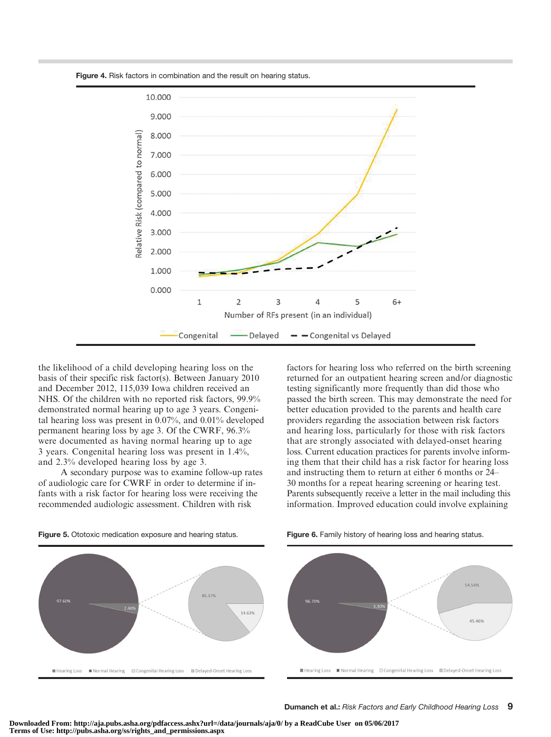



the likelihood of a child developing hearing loss on the basis of their specific risk factor(s). Between January 2010 and December 2012, 115,039 Iowa children received an NHS. Of the children with no reported risk factors, 99.9% demonstrated normal hearing up to age 3 years. Congenital hearing loss was present in 0.07%, and 0.01% developed permanent hearing loss by age 3. Of the CWRF, 96.3% were documented as having normal hearing up to age 3 years. Congenital hearing loss was present in 1.4%, and 2.3% developed hearing loss by age 3.

A secondary purpose was to examine follow-up rates of audiologic care for CWRF in order to determine if infants with a risk factor for hearing loss were receiving the recommended audiologic assessment. Children with risk

factors for hearing loss who referred on the birth screening returned for an outpatient hearing screen and/or diagnostic testing significantly more frequently than did those who passed the birth screen. This may demonstrate the need for better education provided to the parents and health care providers regarding the association between risk factors and hearing loss, particularly for those with risk factors that are strongly associated with delayed-onset hearing loss. Current education practices for parents involve informing them that their child has a risk factor for hearing loss and instructing them to return at either 6 months or 24– 30 months for a repeat hearing screening or hearing test. Parents subsequently receive a letter in the mail including this information. Improved education could involve explaining



Figure 5. Ototoxic medication exposure and hearing status. Figure 6. Family history of hearing loss and hearing status.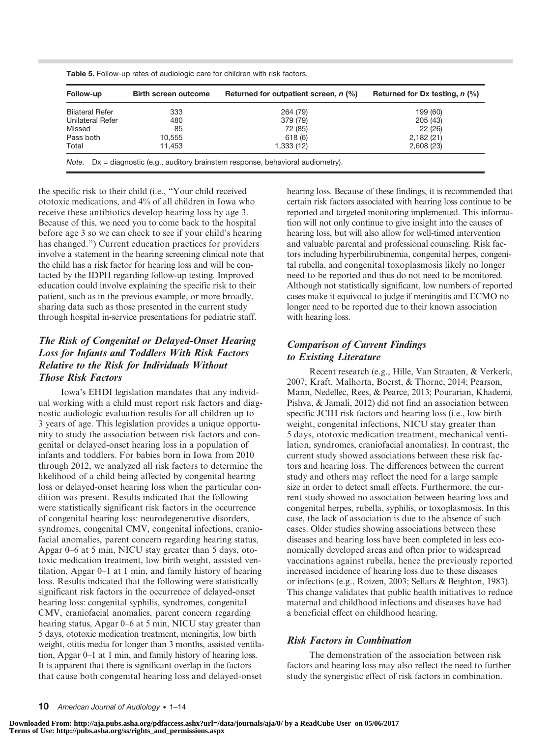| Follow-up               | <b>Birth screen outcome</b> | Returned for outpatient screen, n (%) | Returned for Dx testing, $n$ (%) |
|-------------------------|-----------------------------|---------------------------------------|----------------------------------|
| <b>Bilateral Refer</b>  | 333                         | 264 (79)                              | 199 (60)                         |
| <b>Unilateral Refer</b> | 480                         | 379 (79)                              | 205 (43)                         |
| Missed                  | 85                          | 72 (85)                               | 22(26)                           |
| Pass both               | 10.555                      | 618(6)                                | 2,182(21)                        |
| Total                   | 11.453                      | 1,333(12)                             | 2,608(23)                        |

Table 5. Follow-up rates of audiologic care for children with risk factors.

the specific risk to their child (i.e., "Your child received ototoxic medications, and 4% of all children in Iowa who receive these antibiotics develop hearing loss by age 3. Because of this, we need you to come back to the hospital before age 3 so we can check to see if your child's hearing has changed.") Current education practices for providers involve a statement in the hearing screening clinical note that the child has a risk factor for hearing loss and will be contacted by the IDPH regarding follow-up testing. Improved education could involve explaining the specific risk to their patient, such as in the previous example, or more broadly, sharing data such as those presented in the current study through hospital in-service presentations for pediatric staff.

## The Risk of Congenital or Delayed-Onset Hearing Loss for Infants and Toddlers With Risk Factors Relative to the Risk for Individuals Without Those Risk Factors

Iowa's EHDI legislation mandates that any individual working with a child must report risk factors and diagnostic audiologic evaluation results for all children up to 3 years of age. This legislation provides a unique opportunity to study the association between risk factors and congenital or delayed-onset hearing loss in a population of infants and toddlers. For babies born in Iowa from 2010 through 2012, we analyzed all risk factors to determine the likelihood of a child being affected by congenital hearing loss or delayed-onset hearing loss when the particular condition was present. Results indicated that the following were statistically significant risk factors in the occurrence of congenital hearing loss: neurodegenerative disorders, syndromes, congenital CMV, congenital infections, craniofacial anomalies, parent concern regarding hearing status, Apgar 0–6 at 5 min, NICU stay greater than 5 days, ototoxic medication treatment, low birth weight, assisted ventilation, Apgar 0–1 at 1 min, and family history of hearing loss. Results indicated that the following were statistically significant risk factors in the occurrence of delayed-onset hearing loss: congenital syphilis, syndromes, congenital CMV, craniofacial anomalies, parent concern regarding hearing status, Apgar 0–6 at 5 min, NICU stay greater than 5 days, ototoxic medication treatment, meningitis, low birth weight, otitis media for longer than 3 months, assisted ventilation, Apgar 0–1 at 1 min, and family history of hearing loss. It is apparent that there is significant overlap in the factors that cause both congenital hearing loss and delayed-onset

hearing loss. Because of these findings, it is recommended that certain risk factors associated with hearing loss continue to be reported and targeted monitoring implemented. This information will not only continue to give insight into the causes of hearing loss, but will also allow for well-timed intervention and valuable parental and professional counseling. Risk factors including hyperbilirubinemia, congenital herpes, congenital rubella, and congenital toxoplasmosis likely no longer need to be reported and thus do not need to be monitored. Although not statistically significant, low numbers of reported cases make it equivocal to judge if meningitis and ECMO no longer need to be reported due to their known association with hearing loss.

## Comparison of Current Findings to Existing Literature

Recent research (e.g., Hille, Van Straaten, & Verkerk, 2007; Kraft, Malhorta, Boerst, & Thorne, 2014; Pearson, Mann, Nedellec, Rees, & Pearce, 2013; Pourarian, Khademi, Pishva, & Jamali, 2012) did not find an association between specific JCIH risk factors and hearing loss (i.e., low birth weight, congenital infections, NICU stay greater than 5 days, ototoxic medication treatment, mechanical ventilation, syndromes, craniofacial anomalies). In contrast, the current study showed associations between these risk factors and hearing loss. The differences between the current study and others may reflect the need for a large sample size in order to detect small effects. Furthermore, the current study showed no association between hearing loss and congenital herpes, rubella, syphilis, or toxoplasmosis. In this case, the lack of association is due to the absence of such cases. Older studies showing associations between these diseases and hearing loss have been completed in less economically developed areas and often prior to widespread vaccinations against rubella, hence the previously reported increased incidence of hearing loss due to these diseases or infections (e.g., Roizen, 2003; Sellars & Beighton, 1983). This change validates that public health initiatives to reduce maternal and childhood infections and diseases have had a beneficial effect on childhood hearing.

## Risk Factors in Combination

The demonstration of the association between risk factors and hearing loss may also reflect the need to further study the synergistic effect of risk factors in combination.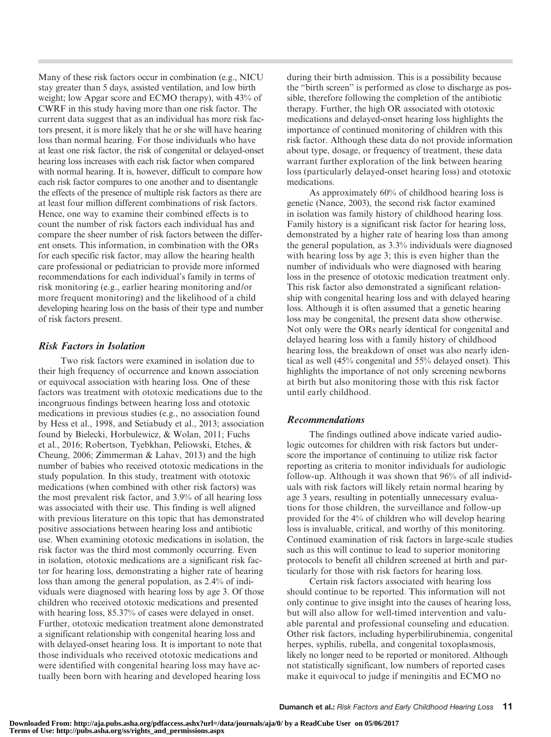Many of these risk factors occur in combination (e.g., NICU stay greater than 5 days, assisted ventilation, and low birth weight; low Apgar score and ECMO therapy), with 43% of CWRF in this study having more than one risk factor. The current data suggest that as an individual has more risk factors present, it is more likely that he or she will have hearing loss than normal hearing. For those individuals who have at least one risk factor, the risk of congenital or delayed-onset hearing loss increases with each risk factor when compared with normal hearing. It is, however, difficult to compare how each risk factor compares to one another and to disentangle the effects of the presence of multiple risk factors as there are at least four million different combinations of risk factors. Hence, one way to examine their combined effects is to count the number of risk factors each individual has and compare the sheer number of risk factors between the different onsets. This information, in combination with the ORs for each specific risk factor, may allow the hearing health care professional or pediatrician to provide more informed recommendations for each individual's family in terms of risk monitoring (e.g., earlier hearing monitoring and/or more frequent monitoring) and the likelihood of a child developing hearing loss on the basis of their type and number of risk factors present.

## Risk Factors in Isolation

Two risk factors were examined in isolation due to their high frequency of occurrence and known association or equivocal association with hearing loss. One of these factors was treatment with ototoxic medications due to the incongruous findings between hearing loss and ototoxic medications in previous studies (e.g., no association found by Hess et al., 1998, and Setiabudy et al., 2013; association found by Bielecki, Horbulewicz, & Wolan, 2011; Fuchs et al., 2016; Robertson, Tyebkhan, Peliowski, Etches, & Cheung, 2006; Zimmerman & Lahav, 2013) and the high number of babies who received ototoxic medications in the study population. In this study, treatment with ototoxic medications (when combined with other risk factors) was the most prevalent risk factor, and 3.9% of all hearing loss was associated with their use. This finding is well aligned with previous literature on this topic that has demonstrated positive associations between hearing loss and antibiotic use. When examining ototoxic medications in isolation, the risk factor was the third most commonly occurring. Even in isolation, ototoxic medications are a significant risk factor for hearing loss, demonstrating a higher rate of hearing loss than among the general population, as 2.4% of individuals were diagnosed with hearing loss by age 3. Of those children who received ototoxic medications and presented with hearing loss, 85.37% of cases were delayed in onset. Further, ototoxic medication treatment alone demonstrated a significant relationship with congenital hearing loss and with delayed-onset hearing loss. It is important to note that those individuals who received ototoxic medications and were identified with congenital hearing loss may have actually been born with hearing and developed hearing loss

during their birth admission. This is a possibility because the "birth screen" is performed as close to discharge as possible, therefore following the completion of the antibiotic therapy. Further, the high OR associated with ototoxic medications and delayed-onset hearing loss highlights the importance of continued monitoring of children with this risk factor. Although these data do not provide information about type, dosage, or frequency of treatment, these data warrant further exploration of the link between hearing loss (particularly delayed-onset hearing loss) and ototoxic medications.

As approximately 60% of childhood hearing loss is genetic (Nance, 2003), the second risk factor examined in isolation was family history of childhood hearing loss. Family history is a significant risk factor for hearing loss, demonstrated by a higher rate of hearing loss than among the general population, as 3.3% individuals were diagnosed with hearing loss by age 3; this is even higher than the number of individuals who were diagnosed with hearing loss in the presence of ototoxic medication treatment only. This risk factor also demonstrated a significant relationship with congenital hearing loss and with delayed hearing loss. Although it is often assumed that a genetic hearing loss may be congenital, the present data show otherwise. Not only were the ORs nearly identical for congenital and delayed hearing loss with a family history of childhood hearing loss, the breakdown of onset was also nearly identical as well (45% congenital and 55% delayed onset). This highlights the importance of not only screening newborns at birth but also monitoring those with this risk factor until early childhood.

## Recommendations

The findings outlined above indicate varied audiologic outcomes for children with risk factors but underscore the importance of continuing to utilize risk factor reporting as criteria to monitor individuals for audiologic follow-up. Although it was shown that 96% of all individuals with risk factors will likely retain normal hearing by age 3 years, resulting in potentially unnecessary evaluations for those children, the surveillance and follow-up provided for the 4% of children who will develop hearing loss is invaluable, critical, and worthy of this monitoring. Continued examination of risk factors in large-scale studies such as this will continue to lead to superior monitoring protocols to benefit all children screened at birth and particularly for those with risk factors for hearing loss.

Certain risk factors associated with hearing loss should continue to be reported. This information will not only continue to give insight into the causes of hearing loss, but will also allow for well-timed intervention and valuable parental and professional counseling and education. Other risk factors, including hyperbilirubinemia, congenital herpes, syphilis, rubella, and congenital toxoplasmosis, likely no longer need to be reported or monitored. Although not statistically significant, low numbers of reported cases make it equivocal to judge if meningitis and ECMO no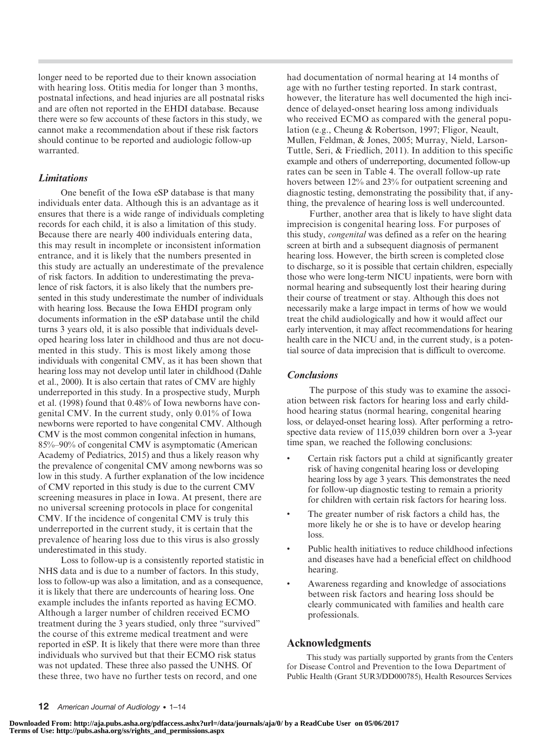longer need to be reported due to their known association with hearing loss. Otitis media for longer than 3 months, postnatal infections, and head injuries are all postnatal risks and are often not reported in the EHDI database. Because there were so few accounts of these factors in this study, we cannot make a recommendation about if these risk factors should continue to be reported and audiologic follow-up warranted.

## Limitations

One benefit of the Iowa eSP database is that many individuals enter data. Although this is an advantage as it ensures that there is a wide range of individuals completing records for each child, it is also a limitation of this study. Because there are nearly 400 individuals entering data, this may result in incomplete or inconsistent information entrance, and it is likely that the numbers presented in this study are actually an underestimate of the prevalence of risk factors. In addition to underestimating the prevalence of risk factors, it is also likely that the numbers presented in this study underestimate the number of individuals with hearing loss. Because the Iowa EHDI program only documents information in the eSP database until the child turns 3 years old, it is also possible that individuals developed hearing loss later in childhood and thus are not documented in this study. This is most likely among those individuals with congenital CMV, as it has been shown that hearing loss may not develop until later in childhood (Dahle et al., 2000). It is also certain that rates of CMV are highly underreported in this study. In a prospective study, Murph et al. (1998) found that 0.48% of Iowa newborns have congenital CMV. In the current study, only 0.01% of Iowa newborns were reported to have congenital CMV. Although CMV is the most common congenital infection in humans, 85%–90% of congenital CMV is asymptomatic (American Academy of Pediatrics, 2015) and thus a likely reason why the prevalence of congenital CMV among newborns was so low in this study. A further explanation of the low incidence of CMV reported in this study is due to the current CMV screening measures in place in Iowa. At present, there are no universal screening protocols in place for congenital CMV. If the incidence of congenital CMV is truly this underreported in the current study, it is certain that the prevalence of hearing loss due to this virus is also grossly underestimated in this study.

Loss to follow-up is a consistently reported statistic in NHS data and is due to a number of factors. In this study, loss to follow-up was also a limitation, and as a consequence, it is likely that there are undercounts of hearing loss. One example includes the infants reported as having ECMO. Although a larger number of children received ECMO treatment during the 3 years studied, only three "survived" the course of this extreme medical treatment and were reported in eSP. It is likely that there were more than three individuals who survived but that their ECMO risk status was not updated. These three also passed the UNHS. Of these three, two have no further tests on record, and one

had documentation of normal hearing at 14 months of age with no further testing reported. In stark contrast, however, the literature has well documented the high incidence of delayed-onset hearing loss among individuals who received ECMO as compared with the general population (e.g., Cheung & Robertson, 1997; Fligor, Neault, Mullen, Feldman, & Jones, 2005; Murray, Nield, Larson-Tuttle, Seri, & Friedlich, 2011). In addition to this specific example and others of underreporting, documented follow-up rates can be seen in Table 4. The overall follow-up rate hovers between 12% and 23% for outpatient screening and diagnostic testing, demonstrating the possibility that, if anything, the prevalence of hearing loss is well undercounted.

Further, another area that is likely to have slight data imprecision is congenital hearing loss. For purposes of this study, congenital was defined as a refer on the hearing screen at birth and a subsequent diagnosis of permanent hearing loss. However, the birth screen is completed close to discharge, so it is possible that certain children, especially those who were long-term NICU inpatients, were born with normal hearing and subsequently lost their hearing during their course of treatment or stay. Although this does not necessarily make a large impact in terms of how we would treat the child audiologically and how it would affect our early intervention, it may affect recommendations for hearing health care in the NICU and, in the current study, is a potential source of data imprecision that is difficult to overcome.

#### **Conclusions**

The purpose of this study was to examine the association between risk factors for hearing loss and early childhood hearing status (normal hearing, congenital hearing loss, or delayed-onset hearing loss). After performing a retrospective data review of 115,039 children born over a 3-year time span, we reached the following conclusions:

- Certain risk factors put a child at significantly greater risk of having congenital hearing loss or developing hearing loss by age 3 years. This demonstrates the need for follow-up diagnostic testing to remain a priority for children with certain risk factors for hearing loss.
- The greater number of risk factors a child has, the more likely he or she is to have or develop hearing loss.
- Public health initiatives to reduce childhood infections and diseases have had a beneficial effect on childhood hearing.
- Awareness regarding and knowledge of associations between risk factors and hearing loss should be clearly communicated with families and health care professionals.

#### Acknowledgments

This study was partially supported by grants from the Centers for Disease Control and Prevention to the Iowa Department of Public Health (Grant 5UR3/DD000785), Health Resources Services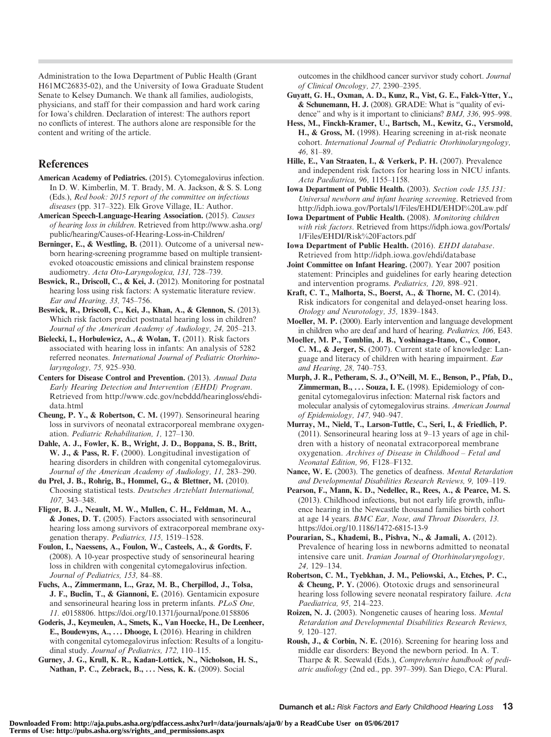Administration to the Iowa Department of Public Health (Grant H61MC26835-02), and the University of Iowa Graduate Student Senate to Kelsey Dumanch. We thank all families, audiologists, physicians, and staff for their compassion and hard work caring for Iowa's children. Declaration of interest: The authors report no conflicts of interest. The authors alone are responsible for the content and writing of the article.

## References

- American Academy of Pediatrics. (2015). Cytomegalovirus infection. In D. W. Kimberlin, M. T. Brady, M. A. Jackson, & S. S. Long (Eds.), Red book: 2015 report of the committee on infectious diseases (pp. 317–322). Elk Grove Village, IL: Author.
- American Speech-Language-Hearing Association. (2015). Causes of hearing loss in children. Retrieved from http://www.asha.org/ public/hearing/Causes-of-Hearing-Loss-in-Children/

Berninger, E., & Westling, B. (2011). Outcome of a universal newborn hearing-screening programme based on multiple transientevoked otoacoustic emissions and clinical brainstem response audiometry. Acta Oto-Laryngologica, 131, 728–739.

Beswick, R., Driscoll, C., & Kei, J. (2012). Monitoring for postnatal hearing loss using risk factors: A systematic literature review. Ear and Hearing, 33, 745–756.

Beswick, R., Driscoll, C., Kei, J., Khan, A., & Glennon, S. (2013). Which risk factors predict postnatal hearing loss in children? Journal of the American Academy of Audiology, 24, 205–213.

Bielecki, I., Horbulewicz, A., & Wolan, T. (2011). Risk factors associated with hearing loss in infants: An analysis of 5282 referred neonates. International Journal of Pediatric Otorhinolaryngology, 75, 925–930.

Centers for Disease Control and Prevention. (2013). Annual Data Early Hearing Detection and Intervention (EHDI) Program. Retrieved from http://www.cdc.gov/ncbddd/hearingloss/ehdidata.html

Cheung, P. Y., & Robertson, C. M. (1997). Sensorineural hearing loss in survivors of neonatal extracorporeal membrane oxygenation. Pediatric Rehabilitation, 1, 127–130.

Dahle, A. J., Fowler, K. B., Wright, J. D., Boppana, S. B., Britt, W. J., & Pass, R. F. (2000). Longitudinal investigation of hearing disorders in children with congenital cytomegalovirus. Journal of the American Academy of Audiology, 11, 283–290.

du Prel, J. B., Rohrig, B., Hommel, G., & Blettner, M. (2010). Choosing statistical tests. Deutsches Arzteblatt International, 107, 343–348.

Fligor, B. J., Neault, M. W., Mullen, C. H., Feldman, M. A., & Jones, D. T. (2005). Factors associated with sensorineural hearing loss among survivors of extracorporeal membrane oxygenation therapy. Pediatrics, 115, 1519–1528.

Foulon, I., Naessens, A., Foulon, W., Casteels, A., & Gordts, F. (2008). A 10-year prospective study of sensorineural hearing loss in children with congenital cytomegalovirus infection. Journal of Pediatrics, 153, 84–88.

Fuchs, A., Zimmermann, L., Graz, M. B., Cherpillod, J., Tolsa, J. F., Buclin, T., & Giannoni, E. (2016). Gentamicin exposure and sensorineural hearing loss in preterm infants. PLoS One, 11. e0158806. https://doi.org/10.1371/journal/pone.0158806

Goderis, J., Keymeulen, A., Smets, K., Van Hoecke, H., De Leenheer, E., Boudewyns, A., . . . Dhooge, I. (2016). Hearing in children with congenital cytomegalovirus infection: Results of a longitudinal study. Journal of Pediatrics, 172, 110-115.

Gurney, J. G., Krull, K. R., Kadan-Lottick, N., Nicholson, H. S., Nathan, P. C., Zebrack, B., ... Ness, K. K. (2009). Social

outcomes in the childhood cancer survivor study cohort. Journal of Clinical Oncology, 27, 2390–2395.

- Guyatt, G. H., Oxman, A. D., Kunz, R., Vist, G. E., Falck-Ytter, Y., & Schunemann, H. J. (2008). GRADE: What is "quality of evidence" and why is it important to clinicians? *BMJ*, 336, 995–998.
- Hess, M., Finckh-Kramer, U., Bartsch, M., Kewitz, G., Versmold, H., & Gross, M. (1998). Hearing screening in at-risk neonate cohort. International Journal of Pediatric Otorhinolaryngology, 46, 81–89.
- Hille, E., Van Straaten, I., & Verkerk, P. H. (2007). Prevalence and independent risk factors for hearing loss in NICU infants. Acta Paediatrica, 96, 1155–1158.

Iowa Department of Public Health. (2003). Section code 135.131: Universal newborn and infant hearing screening. Retrieved from http://idph.iowa.gov/Portals/1/Files/EHDI/EHDI%20Law.pdf

- Iowa Department of Public Health. (2008). Monitoring children with risk factors. Retrieved from https://idph.iowa.gov/Portals/ 1/Files/EHDI/Risk%20Factors.pdf
- Iowa Department of Public Health. (2016). EHDI database. Retrieved from http://idph.iowa.gov/ehdi/database

Joint Committee on Infant Hearing. (2007). Year 2007 position statement: Principles and guidelines for early hearing detection and intervention programs. Pediatrics, 120, 898–921.

Kraft, C. T., Malhorta, S., Boerst, A., & Thorne, M. C. (2014). Risk indicators for congenital and delayed-onset hearing loss. Otology and Neurotology, 35, 1839–1843.

Moeller, M. P. (2000). Early intervention and language development in children who are deaf and hard of hearing. Pediatrics, 106, E43.

Moeller, M. P., Tomblin, J. B., Yoshinaga-Itano, C., Connor, C. M., & Jerger, S. (2007). Current state of knowledge: Language and literacy of children with hearing impairment. Ear and Hearing, 28, 740–753.

Murph, J. R., Petheram, S. J., O*'*Neill, M. E., Benson, P., Pfab, D., Zimmerman,  $B_{1}, \ldots$  Souza, I. E. (1998). Epidemiology of congenital cytomegalovirus infection: Maternal risk factors and molecular analysis of cytomegalovirus strains. American Journal of Epidemiology, 147, 940–947.

Murray, M., Nield, T., Larson-Tuttle, C., Seri, I., & Friedlich, P. (2011). Sensorineural hearing loss at 9–13 years of age in children with a history of neonatal extracorporeal membrane oxygenation. Archives of Disease in Childhood *–* Fetal and Neonatal Edition, 96, F128–F132.

Nance, W. E. (2003). The genetics of deafness. Mental Retardation and Developmental Disabilities Research Reviews, 9, 109–119.

Pearson, F., Mann, K. D., Nedellec, R., Rees, A., & Pearce, M. S. (2013). Childhood infections, but not early life growth, influence hearing in the Newcastle thousand families birth cohort at age 14 years. BMC Ear, Nose, and Throat Disorders, 13. https://doi.org/10.1186/1472-6815-13-9

Pourarian, S., Khademi, B., Pishva, N., & Jamali, A. (2012). Prevalence of hearing loss in newborns admitted to neonatal intensive care unit. Iranian Journal of Otorhinolaryngology, 24, 129–134.

Robertson, C. M., Tyebkhan, J. M., Peliowski, A., Etches, P. C., & Cheung, P. Y. (2006). Ototoxic drugs and sensorineural hearing loss following severe neonatal respiratory failure. Acta Paediatrica, 95, 214–223.

Roizen, N. J. (2003). Nongenetic causes of hearing loss. Mental Retardation and Developmental Disabilities Research Reviews, 9, 120–127.

Roush, J., & Corbin, N. E. (2016). Screening for hearing loss and middle ear disorders: Beyond the newborn period. In A. T. Tharpe & R. Seewald (Eds.), Comprehensive handbook of pediatric audiology (2nd ed., pp. 397–399). San Diego, CA: Plural.